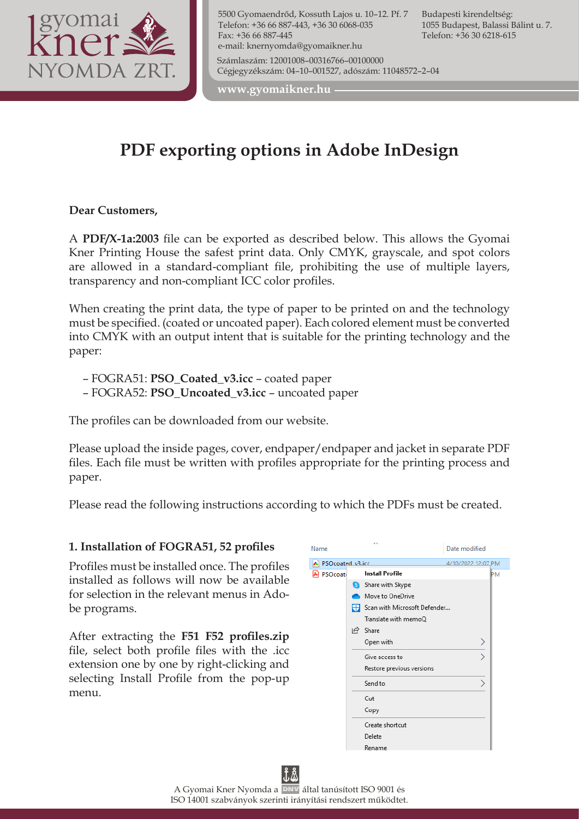

5500 Gyomaendrőd, Kossuth Lajos u. 10–12. Pf. 7 Telefon: +36 66 887-443, +36 30 6068-035 Fax: +36 66 887-445 e-mail: knernyomda@gyomaikner.hu Számlaszám: 12001008–00316766–00100000 Cégjegyzékszám: 04–10–001527, adószám: 11048572–2–04

Budapesti kirendeltség: 1055 Budapest, Balassi Bálint u. 7. Telefon: +36 30 6218-615

**www.gyomaikner.hu**

# **PDF exporting options in Adobe InDesign**

**Dear Customers,**

A **PDF/X-1a:2003** file can be exported as described below. This allows the Gyomai Kner Printing House the safest print data. Only CMYK, grayscale, and spot colors are allowed in a standard-compliant file, prohibiting the use of multiple layers, transparency and non-compliant ICC color profiles.

When creating the print data, the type of paper to be printed on and the technology must be specified. (coated or uncoated paper). Each colored element must be converted into CMYK with an output intent that is suitable for the printing technology and the paper:

- FOGRA51: **PSO\_Coated\_v3.icc** coated paper
- FOGRA52: **PSO\_Uncoated\_v3.icc** uncoated paper

The profiles can be downloaded from our website.

Please upload the inside pages, cover, endpaper/endpaper and jacket in separate PDF files. Each file must be written with profiles appropriate for the printing process and paper.

Please read the following instructions according to which the PDFs must be created.

#### **1. Installation of FOGRA51, 52 profiles**

Profiles must be installed once. The profiles installed as follows will now be available for selection in the relevant menus in Adobe programs.

After extracting the **F51 F52 profiles.zip** file, select both profile files with the .icc extension one by one by right-clicking and selecting Install Profile from the pop-up menu.

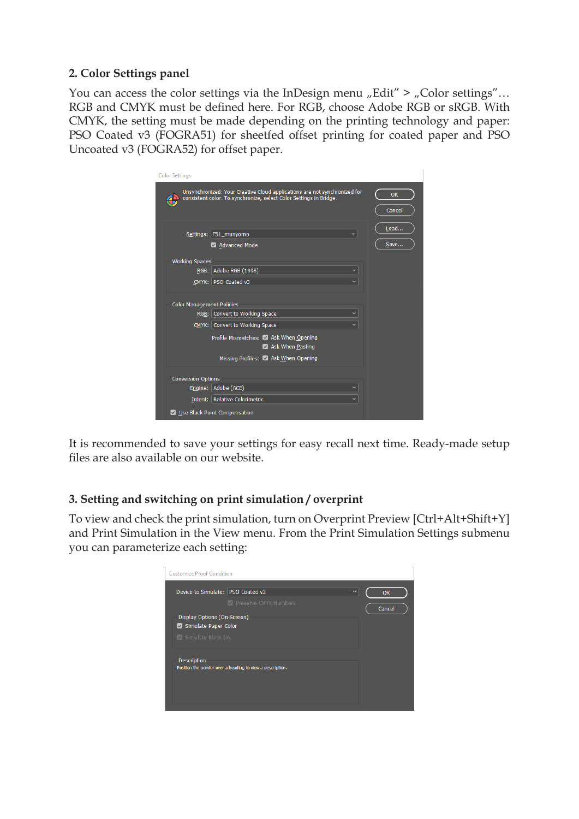#### **2. Color Settings panel**

You can access the color settings via the InDesign menu "Edit" > "Color settings"... RGB and CMYK must be defined here. For RGB, choose Adobe RGB or sRGB. With CMYK, the setting must be made depending on the printing technology and paper: PSO Coated v3 (FOGRA51) for sheetfed offset printing for coated paper and PSO Uncoated v3 (FOGRA52) for offset paper.

| <b>Color Settings</b>                                                                                                                           |              |
|-------------------------------------------------------------------------------------------------------------------------------------------------|--------------|
| Unsynchronized: Your Creative Cloud applications are not synchronized for<br>consistent color. To synchronize, select Color Settings in Bridge. | OK<br>Cancel |
| Settings: F51 munyomo<br>$\checkmark$<br>Advanced Mode                                                                                          | Load<br>Save |
| <b>Working Spaces</b>                                                                                                                           |              |
| RGB: Adobe RGB (1998)<br>$\checkmark$                                                                                                           |              |
| CMYK: PSO Coated v3<br>$\checkmark$                                                                                                             |              |
| <b>Color Management Policies</b>                                                                                                                |              |
| RGB: Convert to Working Space                                                                                                                   |              |
| CMYK: Convert to Working Space                                                                                                                  |              |
| Profile Mismatches: 2 Ask When Opening<br>Ask When Pasting                                                                                      |              |
| Missing Profiles: 4 Ask When Opening                                                                                                            |              |
|                                                                                                                                                 |              |
| <b>Conversion Options</b>                                                                                                                       |              |
| Engine: Adobe (ACE)                                                                                                                             |              |
| Intent: Relative Colorimetric                                                                                                                   |              |
| Use Black Point Compensation                                                                                                                    |              |

It is recommended to save your settings for easy recall next time. Ready-made setup files are also available on our website.

### **3. Setting and switching on print simulation / overprint**

To view and check the print simulation, turn on Overprint Preview [Ctrl+Alt+Shift+Y] and Print Simulation in the View menu. From the Print Simulation Settings submenu you can parameterize each setting:

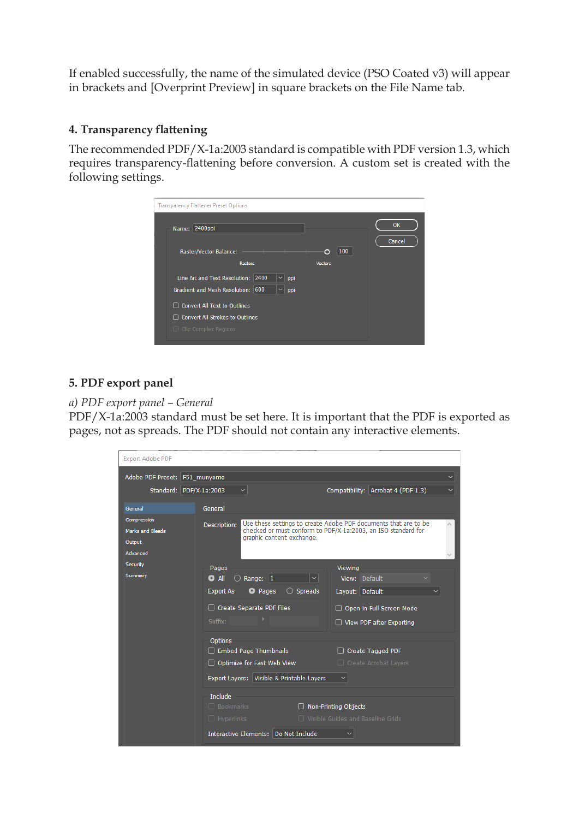If enabled successfully, the name of the simulated device (PSO Coated v3) will appear in brackets and [Overprint Preview] in square brackets on the File Name tab.

#### **4. Transparency flattening**

The recommended PDF/X-1a:2003 standard is compatible with PDF version 1.3, which requires transparency-flattening before conversion. A custom set is created with the following settings.

| <b>Transparency Flattener Preset Options</b> |                |        |
|----------------------------------------------|----------------|--------|
|                                              |                | OK     |
| Name: 2400ppi                                |                |        |
| Raster/Vector Balance:                       | 100<br>O       | Cancel |
| <b>Rasters</b>                               | <b>Vectors</b> |        |
|                                              |                |        |
| Line Art and Text Resolution: 2400<br>ppi    |                |        |
| Gradient and Mesh Resolution: 600<br>ppi     |                |        |
| □ Convert All Text to Outlines               |                |        |
| □ Convert All Strokes to Outlines            |                |        |
| $\Box$ Clip Complex Regions                  |                |        |
|                                              |                |        |

### **5. PDF export panel**

#### *a) PDF export panel – General*

PDF/X-1a:2003 standard must be set here. It is important that the PDF is exported as pages, not as spreads. The PDF should not contain any interactive elements.

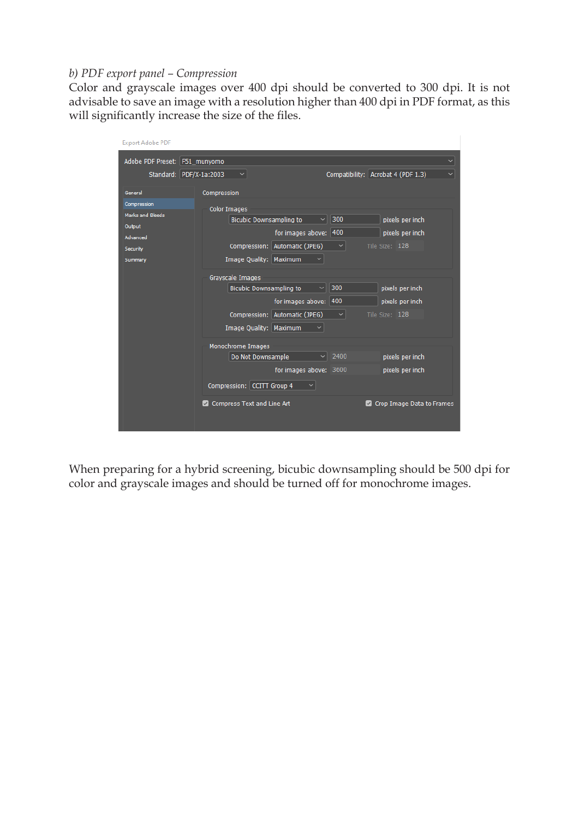#### *b) PDF export panel – Compression*

Color and grayscale images over 400 dpi should be converted to 300 dpi. It is not advisable to save an image with a resolution higher than 400 dpi in PDF format, as this will significantly increase the size of the files.

| <b>Export Adobe PDF</b>                           |                                                                               |  |
|---------------------------------------------------|-------------------------------------------------------------------------------|--|
| Adobe PDF Preset: F51_munyomo<br>$\checkmark$     |                                                                               |  |
|                                                   | Compatibility: Acrobat 4 (PDF 1.3)<br>Standard: PDF/X-1a:2003<br>$\checkmark$ |  |
| General<br>Compression<br><b>Marks and Bleeds</b> | Compression<br><b>Color Images</b>                                            |  |
| Output                                            | 300<br><b>Bicubic Downsampling to</b><br>◡<br>pixels per inch                 |  |
| Advanced                                          | for images above: 400<br>pixels per inch                                      |  |
| Security                                          | Compression: Automatic (JPEG)<br>Tile Size: 128<br>$\checkmark$               |  |
| Summary                                           | Image Quality: Maximum                                                        |  |
|                                                   | Grayscale Images                                                              |  |
|                                                   | $\vee$ 300<br><b>Bicubic Downsampling to</b><br>pixels per inch               |  |
|                                                   | for images above: 400<br>pixels per inch                                      |  |
|                                                   | Compression: Automatic (JPEG)<br>$\checkmark$<br>Tile Size: 128               |  |
|                                                   | Image Quality: Maximum                                                        |  |
|                                                   | Monochrome Images                                                             |  |
|                                                   | 2400<br>pixels per inch<br>$\checkmark$<br>Do Not Downsample                  |  |
|                                                   | for images above: 3600<br>pixels per inch                                     |  |
|                                                   | Compression: CCITT Group 4<br>v                                               |  |
|                                                   | Compress Text and Line Art<br>Crop Image Data to Frames<br>$\vee$             |  |

When preparing for a hybrid screening, bicubic downsampling should be 500 dpi for color and grayscale images and should be turned off for monochrome images.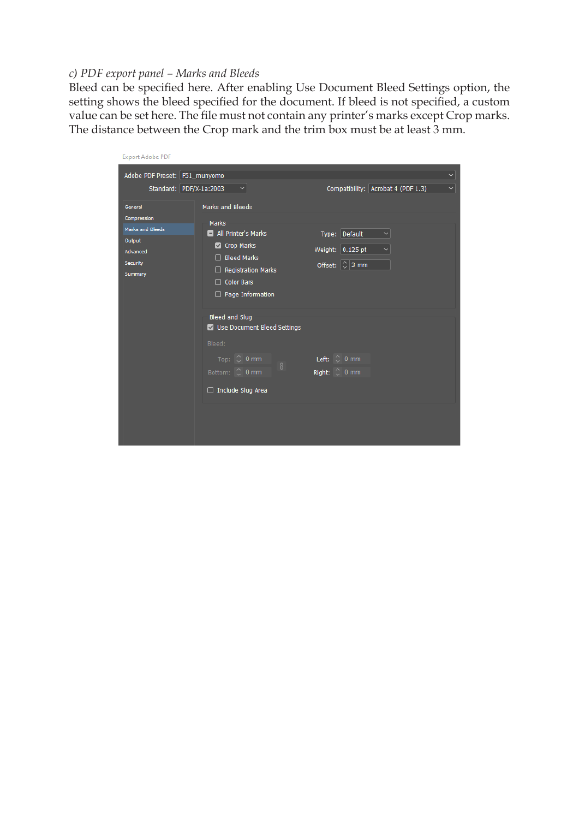#### *c) PDF export panel – Marks and Bleeds*

Bleed can be specified here. After enabling Use Document Bleed Settings option, the setting shows the bleed specified for the document. If bleed is not specified, a custom value can be set here. The file must not contain any printer's marks except Crop marks. The distance between the Crop mark and the trim box must be at least 3 mm.

| <b>Export Adobe PDF</b>                                                                 |                                                                                                                                                                                    |                                                                                           |
|-----------------------------------------------------------------------------------------|------------------------------------------------------------------------------------------------------------------------------------------------------------------------------------|-------------------------------------------------------------------------------------------|
| Adobe PDF Preset: F51_munyomo<br>Standard: PDF/X-1a:2003                                | $\checkmark$                                                                                                                                                                       | Y<br>Compatibility: Acrobat 4 (PDF 1.3)<br>$\checkmark$                                   |
| General<br>Compression<br>Marks and Bleeds<br>Output<br>Advanced<br>Security<br>Summary | <b>Marks and Bleeds</b><br>Marks<br>All Printer's Marks<br>Crop Marks<br><b>Bleed Marks</b><br>П<br><b>Registration Marks</b><br><b>Color Bars</b><br>П<br>$\Box$ Page Information | Type: Default<br>$\checkmark$<br>Weight: $0.125$ pt<br>Offset: $\left \left[\right]$ 3 mm |
|                                                                                         | Bleed and Slug<br>Use Document Bleed Settings<br>Bleed:<br>Top: $\circ$ 0 mm<br>$\theta$<br>Bottom: C 0 mm<br>$\Box$ Include Slug Area                                             | Left: $\circ$ 0 mm<br>Right: 0 mm                                                         |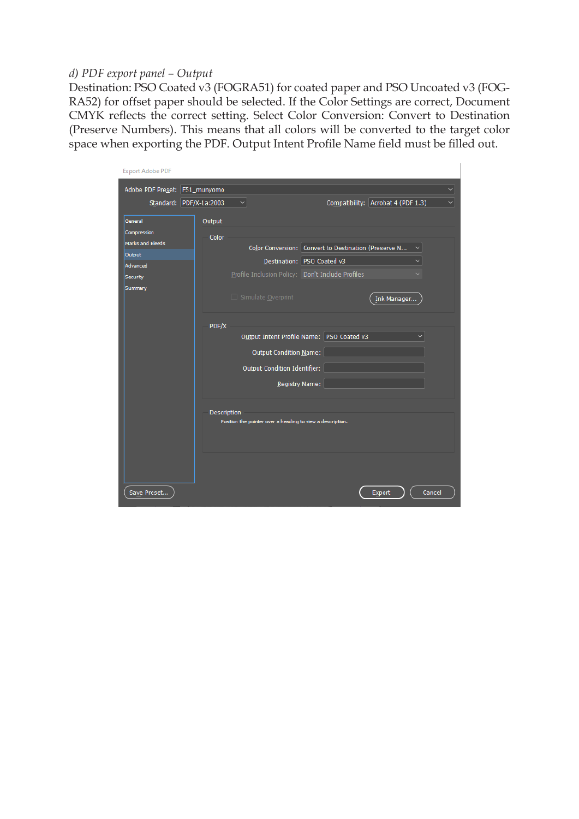#### *d) PDF export panel – Output*

Destination: PSO Coated v3 (FOGRA51) for coated paper and PSO Uncoated v3 (FOG-RA52) for offset paper should be selected. If the Color Settings are correct, Document CMYK reflects the correct setting. Select Color Conversion: Convert to Destination (Preserve Numbers). This means that all colors will be converted to the target color space when exporting the PDF. Output Intent Profile Name field must be filled out.

| <b>Export Adobe PDF</b>       |             |                                                            |                                                      |                                                    |
|-------------------------------|-------------|------------------------------------------------------------|------------------------------------------------------|----------------------------------------------------|
| Adobe PDF Preset: F51_munyomo |             |                                                            |                                                      | $\checkmark$                                       |
| Standard: PDF/X-1a:2003       |             | $\checkmark$                                               |                                                      | Compatibility: Acrobat 4 (PDF 1.3)<br>$\checkmark$ |
| General                       | Output      |                                                            |                                                      |                                                    |
| Compression                   | Color       |                                                            |                                                      |                                                    |
| Marks and Bleeds              |             |                                                            | Color Conversion: Convert to Destination (Preserve N | $\checkmark$                                       |
| Output                        |             |                                                            | Destination:   PSO Coated v3                         |                                                    |
| <b>Advanced</b>               |             |                                                            |                                                      |                                                    |
| Security                      |             | Profile Inclusion Policy: Don't Include Profiles           |                                                      |                                                    |
| Summary                       |             | □ Simulate Overprint                                       |                                                      | Ink Manager                                        |
|                               |             |                                                            |                                                      |                                                    |
|                               | PDF/X       |                                                            |                                                      |                                                    |
|                               |             |                                                            | Output Intent Profile Name: PSO Coated v3            |                                                    |
|                               |             | Output Condition Name:                                     |                                                      |                                                    |
|                               |             | Output Condition Identifier:                               |                                                      |                                                    |
|                               |             | Registry Name:                                             |                                                      |                                                    |
|                               |             |                                                            |                                                      |                                                    |
|                               | Description |                                                            |                                                      |                                                    |
|                               |             | Position the pointer over a heading to view a description. |                                                      |                                                    |
|                               |             |                                                            |                                                      |                                                    |
|                               |             |                                                            |                                                      |                                                    |
|                               |             |                                                            |                                                      |                                                    |
|                               |             |                                                            |                                                      |                                                    |
| Save Preset                   |             |                                                            |                                                      | Cancel<br>Export                                   |